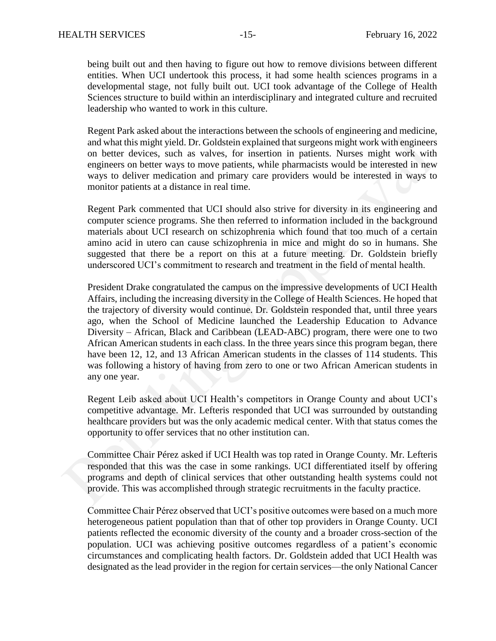being built out and then having to figure out how to remove divisions between different entities. When UCI undertook this process, it had some health sciences programs in a developmental stage, not fully built out. UCI took advantage of the College of Health Sciences structure to build within an interdisciplinary and integrated culture and recruited leadership who wanted to work in this culture.

Regent Park asked about the interactions between the schools of engineering and medicine, and what this might yield. Dr. Goldstein explained that surgeons might work with engineers on better devices, such as valves, for insertion in patients. Nurses might work with engineers on better ways to move patients, while pharmacists would be interested in new ways to deliver medication and primary care providers would be interested in ways to monitor patients at a distance in real time.

Regent Park commented that UCI should also strive for diversity in its engineering and computer science programs. She then referred to information included in the background materials about UCI research on schizophrenia which found that too much of a certain amino acid in utero can cause schizophrenia in mice and might do so in humans. She suggested that there be a report on this at a future meeting. Dr. Goldstein briefly underscored UCI's commitment to research and treatment in the field of mental health.

President Drake congratulated the campus on the impressive developments of UCI Health Affairs, including the increasing diversity in the College of Health Sciences. He hoped that the trajectory of diversity would continue. Dr. Goldstein responded that, until three years ago, when the School of Medicine launched the Leadership Education to Advance Diversity – African, Black and Caribbean (LEAD-ABC) program, there were one to two African American students in each class. In the three years since this program began, there have been 12, 12, and 13 African American students in the classes of 114 students. This was following a history of having from zero to one or two African American students in any one year.

Regent Leib asked about UCI Health's competitors in Orange County and about UCI's competitive advantage. Mr. Lefteris responded that UCI was surrounded by outstanding healthcare providers but was the only academic medical center. With that status comes the opportunity to offer services that no other institution can.

Committee Chair Pérez asked if UCI Health was top rated in Orange County. Mr. Lefteris responded that this was the case in some rankings. UCI differentiated itself by offering programs and depth of clinical services that other outstanding health systems could not provide. This was accomplished through strategic recruitments in the faculty practice.

Committee Chair Pérez observed that UCI's positive outcomes were based on a much more heterogeneous patient population than that of other top providers in Orange County. UCI patients reflected the economic diversity of the county and a broader cross-section of the population. UCI was achieving positive outcomes regardless of a patient's economic circumstances and complicating health factors. Dr. Goldstein added that UCI Health was designated as the lead provider in the region for certain services—the only National Cancer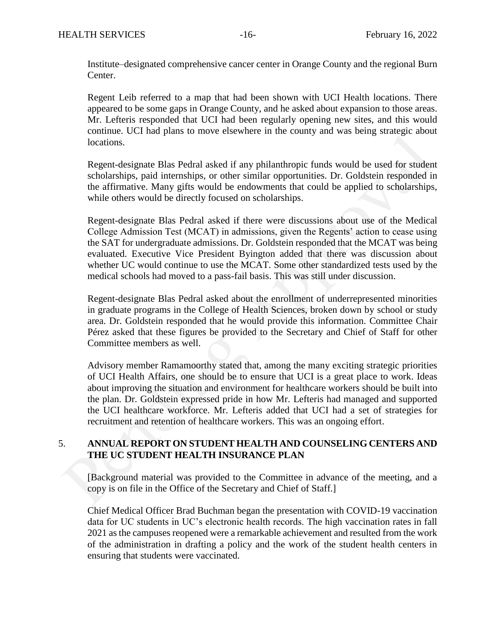Institute–designated comprehensive cancer center in Orange County and the regional Burn Center.

Regent Leib referred to a map that had been shown with UCI Health locations. There appeared to be some gaps in Orange County, and he asked about expansion to those areas. Mr. Lefteris responded that UCI had been regularly opening new sites, and this would continue. UCI had plans to move elsewhere in the county and was being strategic about locations.

Regent-designate Blas Pedral asked if any philanthropic funds would be used for student scholarships, paid internships, or other similar opportunities. Dr. Goldstein responded in the affirmative. Many gifts would be endowments that could be applied to scholarships, while others would be directly focused on scholarships.

Regent-designate Blas Pedral asked if there were discussions about use of the Medical College Admission Test (MCAT) in admissions, given the Regents' action to cease using the SAT for undergraduate admissions. Dr. Goldstein responded that the MCAT was being evaluated. Executive Vice President Byington added that there was discussion about whether UC would continue to use the MCAT. Some other standardized tests used by the medical schools had moved to a pass-fail basis. This was still under discussion.

Regent-designate Blas Pedral asked about the enrollment of underrepresented minorities in graduate programs in the College of Health Sciences, broken down by school or study area. Dr. Goldstein responded that he would provide this information. Committee Chair Pérez asked that these figures be provided to the Secretary and Chief of Staff for other Committee members as well.

Advisory member Ramamoorthy stated that, among the many exciting strategic priorities of UCI Health Affairs, one should be to ensure that UCI is a great place to work. Ideas about improving the situation and environment for healthcare workers should be built into the plan. Dr. Goldstein expressed pride in how Mr. Lefteris had managed and supported the UCI healthcare workforce. Mr. Lefteris added that UCI had a set of strategies for recruitment and retention of healthcare workers. This was an ongoing effort.

## 5. **ANNUAL REPORT ON STUDENT HEALTH AND COUNSELING CENTERS AND THE UC STUDENT HEALTH INSURANCE PLAN**

[Background material was provided to the Committee in advance of the meeting, and a copy is on file in the Office of the Secretary and Chief of Staff.]

Chief Medical Officer Brad Buchman began the presentation with COVID-19 vaccination data for UC students in UC's electronic health records. The high vaccination rates in fall 2021 as the campuses reopened were a remarkable achievement and resulted from the work of the administration in drafting a policy and the work of the student health centers in ensuring that students were vaccinated.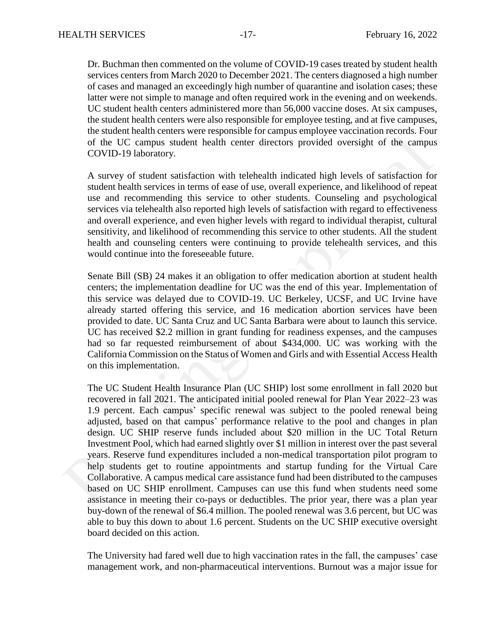Dr. Buchman then commented on the volume of COVID-19 cases treated by student health services centers from March 2020 to December 2021. The centers diagnosed a high number of cases and managed an exceedingly high number of quarantine and isolation cases; these latter were not simple to manage and often required work in the evening and on weekends. UC student health centers administered more than 56,000 vaccine doses. At six campuses, the student health centers were also responsible for employee testing, and at five campuses, the student health centers were responsible for campus employee vaccination records. Four of the UC campus student health center directors provided oversight of the campus COVID-19 laboratory.

A survey of student satisfaction with telehealth indicated high levels of satisfaction for student health services in terms of ease of use, overall experience, and likelihood of repeat use and recommending this service to other students. Counseling and psychological services via telehealth also reported high levels of satisfaction with regard to effectiveness and overall experience, and even higher levels with regard to individual therapist, cultural sensitivity, and likelihood of recommending this service to other students. All the student health and counseling centers were continuing to provide telehealth services, and this would continue into the foreseeable future.

Senate Bill (SB) 24 makes it an obligation to offer medication abortion at student health centers; the implementation deadline for UC was the end of this year. Implementation of this service was delayed due to COVID-19. UC Berkeley, UCSF, and UC Irvine have already started offering this service, and 16 medication abortion services have been provided to date. UC Santa Cruz and UC Santa Barbara were about to launch this service. UC has received \$2.2 million in grant funding for readiness expenses, and the campuses had so far requested reimbursement of about \$434,000. UC was working with the California Commission on the Status of Women and Girls and with Essential Access Health on this implementation.

The UC Student Health Insurance Plan (UC SHIP) lost some enrollment in fall 2020 but recovered in fall 2021. The anticipated initial pooled renewal for Plan Year 2022–23 was 1.9 percent. Each campus' specific renewal was subject to the pooled renewal being adjusted, based on that campus' performance relative to the pool and changes in plan design. UC SHIP reserve funds included about \$20 million in the UC Total Return Investment Pool, which had earned slightly over \$1 million in interest over the past several years. Reserve fund expenditures included a non-medical transportation pilot program to help students get to routine appointments and startup funding for the Virtual Care Collaborative. A campus medical care assistance fund had been distributed to the campuses based on UC SHIP enrollment. Campuses can use this fund when students need some assistance in meeting their co-pays or deductibles. The prior year, there was a plan year buy-down of the renewal of \$6.4 million. The pooled renewal was 3.6 percent, but UC was able to buy this down to about 1.6 percent. Students on the UC SHIP executive oversight board decided on this action.

The University had fared well due to high vaccination rates in the fall, the campuses' case management work, and non-pharmaceutical interventions. Burnout was a major issue for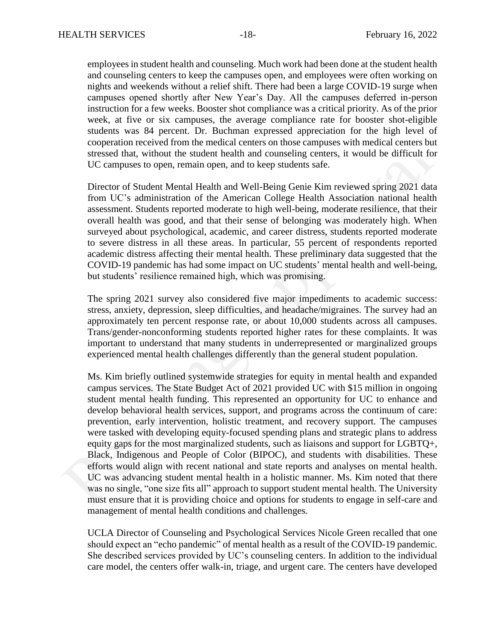employees in student health and counseling. Much work had been done at the student health and counseling centers to keep the campuses open, and employees were often working on nights and weekends without a relief shift. There had been a large COVID-19 surge when campuses opened shortly after New Year's Day. All the campuses deferred in-person instruction for a few weeks. Booster shot compliance was a critical priority. As of the prior week, at five or six campuses, the average compliance rate for booster shot-eligible students was 84 percent. Dr. Buchman expressed appreciation for the high level of cooperation received from the medical centers on those campuses with medical centers but stressed that, without the student health and counseling centers, it would be difficult for UC campuses to open, remain open, and to keep students safe.

Director of Student Mental Health and Well-Being Genie Kim reviewed spring 2021 data from UC's administration of the American College Health Association national health assessment. Students reported moderate to high well-being, moderate resilience, that their overall health was good, and that their sense of belonging was moderately high. When surveyed about psychological, academic, and career distress, students reported moderate to severe distress in all these areas. In particular, 55 percent of respondents reported academic distress affecting their mental health. These preliminary data suggested that the COVID-19 pandemic has had some impact on UC students' mental health and well-being, but students' resilience remained high, which was promising.

The spring 2021 survey also considered five major impediments to academic success: stress, anxiety, depression, sleep difficulties, and headache/migraines. The survey had an approximately ten percent response rate, or about 10,000 students across all campuses. Trans/gender-nonconforming students reported higher rates for these complaints. It was important to understand that many students in underrepresented or marginalized groups experienced mental health challenges differently than the general student population.

Ms. Kim briefly outlined systemwide strategies for equity in mental health and expanded campus services. The State Budget Act of 2021 provided UC with \$15 million in ongoing student mental health funding. This represented an opportunity for UC to enhance and develop behavioral health services, support, and programs across the continuum of care: prevention, early intervention, holistic treatment, and recovery support. The campuses were tasked with developing equity-focused spending plans and strategic plans to address equity gaps for the most marginalized students, such as liaisons and support for LGBTQ+, Black, Indigenous and People of Color (BIPOC), and students with disabilities. These efforts would align with recent national and state reports and analyses on mental health. UC was advancing student mental health in a holistic manner. Ms. Kim noted that there was no single, "one size fits all" approach to support student mental health. The University must ensure that it is providing choice and options for students to engage in self-care and management of mental health conditions and challenges.

UCLA Director of Counseling and Psychological Services Nicole Green recalled that one should expect an "echo pandemic" of mental health as a result of the COVID-19 pandemic. She described services provided by UC's counseling centers. In addition to the individual care model, the centers offer walk-in, triage, and urgent care. The centers have developed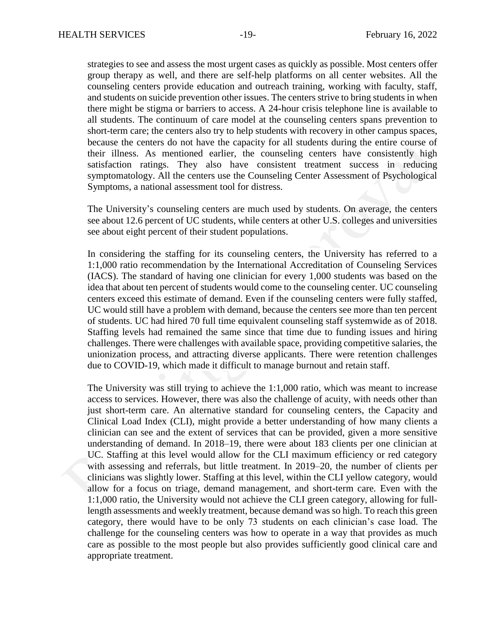strategies to see and assess the most urgent cases as quickly as possible. Most centers offer group therapy as well, and there are self-help platforms on all center websites. All the counseling centers provide education and outreach training, working with faculty, staff, and students on suicide prevention other issues. The centers strive to bring students in when there might be stigma or barriers to access. A 24-hour crisis telephone line is available to all students. The continuum of care model at the counseling centers spans prevention to short-term care; the centers also try to help students with recovery in other campus spaces, because the centers do not have the capacity for all students during the entire course of their illness. As mentioned earlier, the counseling centers have consistently high satisfaction ratings. They also have consistent treatment success in reducing symptomatology. All the centers use the Counseling Center Assessment of Psychological Symptoms, a national assessment tool for distress.

The University's counseling centers are much used by students. On average, the centers see about 12.6 percent of UC students, while centers at other U.S. colleges and universities see about eight percent of their student populations.

In considering the staffing for its counseling centers, the University has referred to a 1:1,000 ratio recommendation by the International Accreditation of Counseling Services (IACS). The standard of having one clinician for every 1,000 students was based on the idea that about ten percent of students would come to the counseling center. UC counseling centers exceed this estimate of demand. Even if the counseling centers were fully staffed, UC would still have a problem with demand, because the centers see more than ten percent of students. UC had hired 70 full time equivalent counseling staff systemwide as of 2018. Staffing levels had remained the same since that time due to funding issues and hiring challenges. There were challenges with available space, providing competitive salaries, the unionization process, and attracting diverse applicants. There were retention challenges due to COVID-19, which made it difficult to manage burnout and retain staff.

The University was still trying to achieve the 1:1,000 ratio, which was meant to increase access to services. However, there was also the challenge of acuity, with needs other than just short-term care. An alternative standard for counseling centers, the Capacity and Clinical Load Index (CLI), might provide a better understanding of how many clients a clinician can see and the extent of services that can be provided, given a more sensitive understanding of demand. In 2018–19, there were about 183 clients per one clinician at UC. Staffing at this level would allow for the CLI maximum efficiency or red category with assessing and referrals, but little treatment. In 2019–20, the number of clients per clinicians was slightly lower. Staffing at this level, within the CLI yellow category, would allow for a focus on triage, demand management, and short-term care. Even with the 1:1,000 ratio, the University would not achieve the CLI green category, allowing for fulllength assessments and weekly treatment, because demand was so high. To reach this green category, there would have to be only 73 students on each clinician's case load. The challenge for the counseling centers was how to operate in a way that provides as much care as possible to the most people but also provides sufficiently good clinical care and appropriate treatment.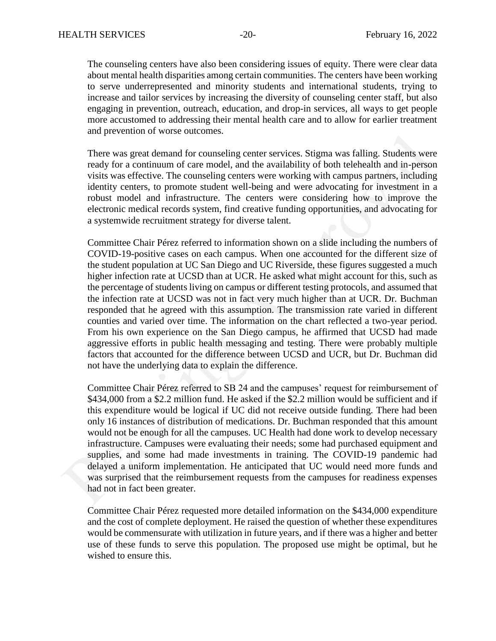The counseling centers have also been considering issues of equity. There were clear data about mental health disparities among certain communities. The centers have been working to serve underrepresented and minority students and international students, trying to increase and tailor services by increasing the diversity of counseling center staff, but also engaging in prevention, outreach, education, and drop-in services, all ways to get people more accustomed to addressing their mental health care and to allow for earlier treatment and prevention of worse outcomes.

There was great demand for counseling center services. Stigma was falling. Students were ready for a continuum of care model, and the availability of both telehealth and in-person visits was effective. The counseling centers were working with campus partners, including identity centers, to promote student well-being and were advocating for investment in a robust model and infrastructure. The centers were considering how to improve the electronic medical records system, find creative funding opportunities, and advocating for a systemwide recruitment strategy for diverse talent.

Committee Chair Pérez referred to information shown on a slide including the numbers of COVID-19-positive cases on each campus. When one accounted for the different size of the student population at UC San Diego and UC Riverside, these figures suggested a much higher infection rate at UCSD than at UCR. He asked what might account for this, such as the percentage of students living on campus or different testing protocols, and assumed that the infection rate at UCSD was not in fact very much higher than at UCR. Dr. Buchman responded that he agreed with this assumption. The transmission rate varied in different counties and varied over time. The information on the chart reflected a two-year period. From his own experience on the San Diego campus, he affirmed that UCSD had made aggressive efforts in public health messaging and testing. There were probably multiple factors that accounted for the difference between UCSD and UCR, but Dr. Buchman did not have the underlying data to explain the difference.

Committee Chair Pérez referred to SB 24 and the campuses' request for reimbursement of \$434,000 from a \$2.2 million fund. He asked if the \$2.2 million would be sufficient and if this expenditure would be logical if UC did not receive outside funding. There had been only 16 instances of distribution of medications. Dr. Buchman responded that this amount would not be enough for all the campuses. UC Health had done work to develop necessary infrastructure. Campuses were evaluating their needs; some had purchased equipment and supplies, and some had made investments in training. The COVID-19 pandemic had delayed a uniform implementation. He anticipated that UC would need more funds and was surprised that the reimbursement requests from the campuses for readiness expenses had not in fact been greater.

Committee Chair Pérez requested more detailed information on the \$434,000 expenditure and the cost of complete deployment. He raised the question of whether these expenditures would be commensurate with utilization in future years, and if there was a higher and better use of these funds to serve this population. The proposed use might be optimal, but he wished to ensure this.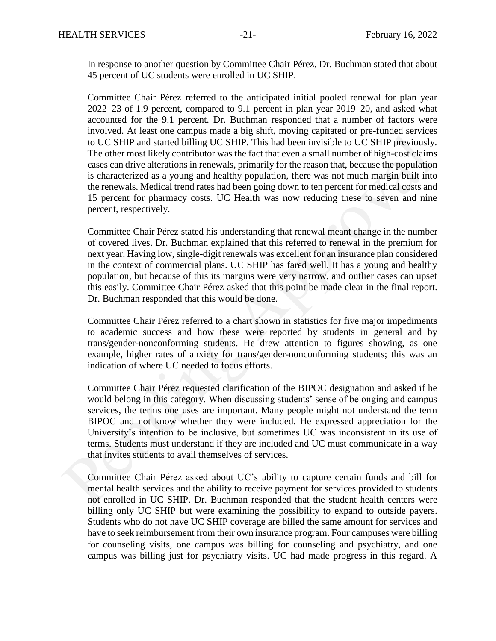In response to another question by Committee Chair Pérez, Dr. Buchman stated that about 45 percent of UC students were enrolled in UC SHIP.

Committee Chair Pérez referred to the anticipated initial pooled renewal for plan year 2022–23 of 1.9 percent, compared to 9.1 percent in plan year 2019–20, and asked what accounted for the 9.1 percent. Dr. Buchman responded that a number of factors were involved. At least one campus made a big shift, moving capitated or pre-funded services to UC SHIP and started billing UC SHIP. This had been invisible to UC SHIP previously. The other most likely contributor was the fact that even a small number of high-cost claims cases can drive alterations in renewals, primarily for the reason that, because the population is characterized as a young and healthy population, there was not much margin built into the renewals. Medical trend rates had been going down to ten percent for medical costs and 15 percent for pharmacy costs. UC Health was now reducing these to seven and nine percent, respectively.

Committee Chair Pérez stated his understanding that renewal meant change in the number of covered lives. Dr. Buchman explained that this referred to renewal in the premium for next year. Having low, single-digit renewals was excellent for an insurance plan considered in the context of commercial plans. UC SHIP has fared well. It has a young and healthy population, but because of this its margins were very narrow, and outlier cases can upset this easily. Committee Chair Pérez asked that this point be made clear in the final report. Dr. Buchman responded that this would be done.

Committee Chair Pérez referred to a chart shown in statistics for five major impediments to academic success and how these were reported by students in general and by trans/gender-nonconforming students. He drew attention to figures showing, as one example, higher rates of anxiety for trans/gender-nonconforming students; this was an indication of where UC needed to focus efforts.

Committee Chair Pérez requested clarification of the BIPOC designation and asked if he would belong in this category. When discussing students' sense of belonging and campus services, the terms one uses are important. Many people might not understand the term BIPOC and not know whether they were included. He expressed appreciation for the University's intention to be inclusive, but sometimes UC was inconsistent in its use of terms. Students must understand if they are included and UC must communicate in a way that invites students to avail themselves of services.

Committee Chair Pérez asked about UC's ability to capture certain funds and bill for mental health services and the ability to receive payment for services provided to students not enrolled in UC SHIP. Dr. Buchman responded that the student health centers were billing only UC SHIP but were examining the possibility to expand to outside payers. Students who do not have UC SHIP coverage are billed the same amount for services and have to seek reimbursement from their own insurance program. Four campuses were billing for counseling visits, one campus was billing for counseling and psychiatry, and one campus was billing just for psychiatry visits. UC had made progress in this regard. A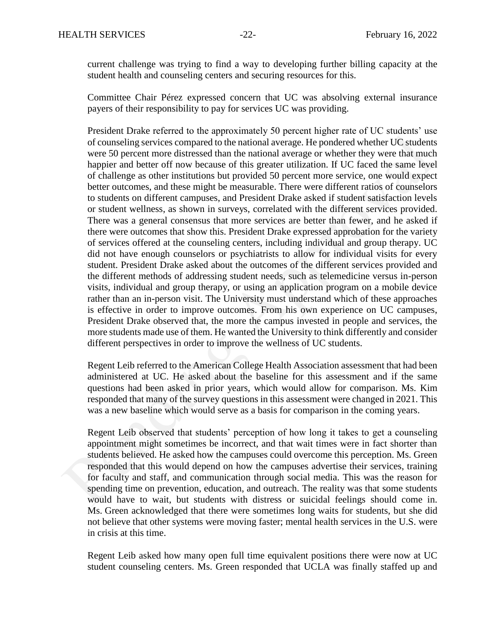current challenge was trying to find a way to developing further billing capacity at the student health and counseling centers and securing resources for this.

Committee Chair Pérez expressed concern that UC was absolving external insurance payers of their responsibility to pay for services UC was providing.

President Drake referred to the approximately 50 percent higher rate of UC students' use of counseling services compared to the national average. He pondered whether UC students were 50 percent more distressed than the national average or whether they were that much happier and better off now because of this greater utilization. If UC faced the same level of challenge as other institutions but provided 50 percent more service, one would expect better outcomes, and these might be measurable. There were different ratios of counselors to students on different campuses, and President Drake asked if student satisfaction levels or student wellness, as shown in surveys, correlated with the different services provided. There was a general consensus that more services are better than fewer, and he asked if there were outcomes that show this. President Drake expressed approbation for the variety of services offered at the counseling centers, including individual and group therapy. UC did not have enough counselors or psychiatrists to allow for individual visits for every student. President Drake asked about the outcomes of the different services provided and the different methods of addressing student needs, such as telemedicine versus in-person visits, individual and group therapy, or using an application program on a mobile device rather than an in-person visit. The University must understand which of these approaches is effective in order to improve outcomes. From his own experience on UC campuses, President Drake observed that, the more the campus invested in people and services, the more students made use of them. He wanted the University to think differently and consider different perspectives in order to improve the wellness of UC students.

Regent Leib referred to the American College Health Association assessment that had been administered at UC. He asked about the baseline for this assessment and if the same questions had been asked in prior years, which would allow for comparison. Ms. Kim responded that many of the survey questions in this assessment were changed in 2021. This was a new baseline which would serve as a basis for comparison in the coming years.

Regent Leib observed that students' perception of how long it takes to get a counseling appointment might sometimes be incorrect, and that wait times were in fact shorter than students believed. He asked how the campuses could overcome this perception. Ms. Green responded that this would depend on how the campuses advertise their services, training for faculty and staff, and communication through social media. This was the reason for spending time on prevention, education, and outreach. The reality was that some students would have to wait, but students with distress or suicidal feelings should come in. Ms. Green acknowledged that there were sometimes long waits for students, but she did not believe that other systems were moving faster; mental health services in the U.S. were in crisis at this time.

Regent Leib asked how many open full time equivalent positions there were now at UC student counseling centers. Ms. Green responded that UCLA was finally staffed up and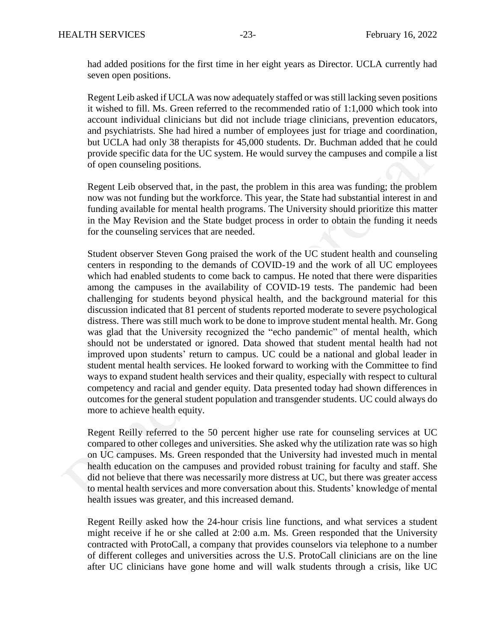had added positions for the first time in her eight years as Director. UCLA currently had seven open positions.

Regent Leib asked if UCLA was now adequately staffed or was still lacking seven positions it wished to fill. Ms. Green referred to the recommended ratio of 1:1,000 which took into account individual clinicians but did not include triage clinicians, prevention educators, and psychiatrists. She had hired a number of employees just for triage and coordination, but UCLA had only 38 therapists for 45,000 students. Dr. Buchman added that he could provide specific data for the UC system. He would survey the campuses and compile a list of open counseling positions.

Regent Leib observed that, in the past, the problem in this area was funding; the problem now was not funding but the workforce. This year, the State had substantial interest in and funding available for mental health programs. The University should prioritize this matter in the May Revision and the State budget process in order to obtain the funding it needs for the counseling services that are needed.

Student observer Steven Gong praised the work of the UC student health and counseling centers in responding to the demands of COVID-19 and the work of all UC employees which had enabled students to come back to campus. He noted that there were disparities among the campuses in the availability of COVID-19 tests. The pandemic had been challenging for students beyond physical health, and the background material for this discussion indicated that 81 percent of students reported moderate to severe psychological distress. There was still much work to be done to improve student mental health. Mr. Gong was glad that the University recognized the "echo pandemic" of mental health, which should not be understated or ignored. Data showed that student mental health had not improved upon students' return to campus. UC could be a national and global leader in student mental health services. He looked forward to working with the Committee to find ways to expand student health services and their quality, especially with respect to cultural competency and racial and gender equity. Data presented today had shown differences in outcomes for the general student population and transgender students. UC could always do more to achieve health equity.

Regent Reilly referred to the 50 percent higher use rate for counseling services at UC compared to other colleges and universities. She asked why the utilization rate was so high on UC campuses. Ms. Green responded that the University had invested much in mental health education on the campuses and provided robust training for faculty and staff. She did not believe that there was necessarily more distress at UC, but there was greater access to mental health services and more conversation about this. Students' knowledge of mental health issues was greater, and this increased demand.

Regent Reilly asked how the 24-hour crisis line functions, and what services a student might receive if he or she called at 2:00 a.m. Ms. Green responded that the University contracted with ProtoCall, a company that provides counselors via telephone to a number of different colleges and universities across the U.S. ProtoCall clinicians are on the line after UC clinicians have gone home and will walk students through a crisis, like UC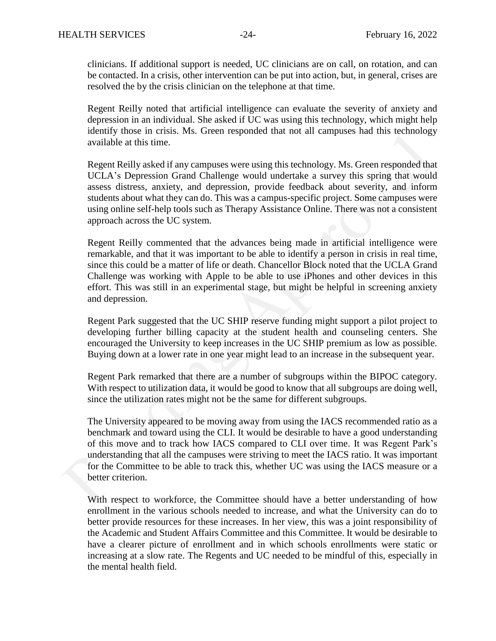clinicians. If additional support is needed, UC clinicians are on call, on rotation, and can be contacted. In a crisis, other intervention can be put into action, but, in general, crises are resolved the by the crisis clinician on the telephone at that time.

Regent Reilly noted that artificial intelligence can evaluate the severity of anxiety and depression in an individual. She asked if UC was using this technology, which might help identify those in crisis. Ms. Green responded that not all campuses had this technology available at this time.

Regent Reilly asked if any campuses were using this technology. Ms. Green responded that UCLA's Depression Grand Challenge would undertake a survey this spring that would assess distress, anxiety, and depression, provide feedback about severity, and inform students about what they can do. This was a campus-specific project. Some campuses were using online self-help tools such as Therapy Assistance Online. There was not a consistent approach across the UC system.

Regent Reilly commented that the advances being made in artificial intelligence were remarkable, and that it was important to be able to identify a person in crisis in real time, since this could be a matter of life or death. Chancellor Block noted that the UCLA Grand Challenge was working with Apple to be able to use iPhones and other devices in this effort. This was still in an experimental stage, but might be helpful in screening anxiety and depression.

Regent Park suggested that the UC SHIP reserve funding might support a pilot project to developing further billing capacity at the student health and counseling centers. She encouraged the University to keep increases in the UC SHIP premium as low as possible. Buying down at a lower rate in one year might lead to an increase in the subsequent year.

Regent Park remarked that there are a number of subgroups within the BIPOC category. With respect to utilization data, it would be good to know that all subgroups are doing well, since the utilization rates might not be the same for different subgroups.

The University appeared to be moving away from using the IACS recommended ratio as a benchmark and toward using the CLI. It would be desirable to have a good understanding of this move and to track how IACS compared to CLI over time. It was Regent Park's understanding that all the campuses were striving to meet the IACS ratio. It was important for the Committee to be able to track this, whether UC was using the IACS measure or a better criterion.

With respect to workforce, the Committee should have a better understanding of how enrollment in the various schools needed to increase, and what the University can do to better provide resources for these increases. In her view, this was a joint responsibility of the Academic and Student Affairs Committee and this Committee. It would be desirable to have a clearer picture of enrollment and in which schools enrollments were static or increasing at a slow rate. The Regents and UC needed to be mindful of this, especially in the mental health field.